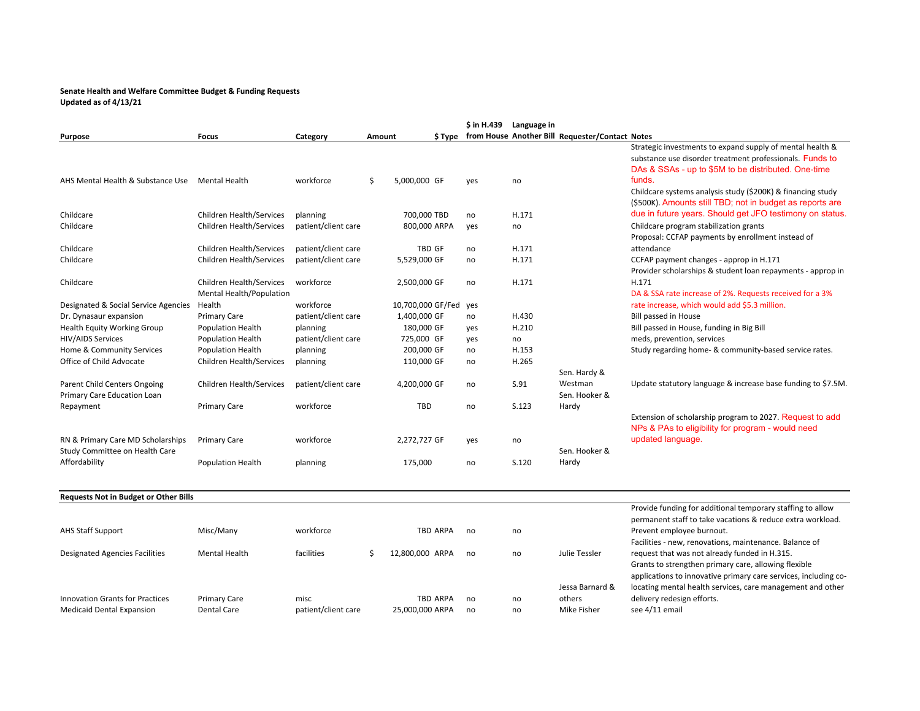## **Senate Health and Welfare Committee Budget & Funding Requests Updated as of 4/13/21**

**Purpose Focus Category Amount \$ Type \$ in H.439 Language in from House Another Bill Requester/Contact Notes** AHS Mental Health & Substance Use Mental Health **workforce** 5 5,000,000 GF yes no Strategic investments to expand supply of mental health & substance use disorder treatment professionals. Funds to DAs & SSAs - up to \$5M to be distributed. One-time funds.Childcare Children Health/Services planning 700,000 TBD no H.171 Childcare systems analysis study (\$200K) & financing study (\$500K). Amounts still TBD; not in budget as reports are due in future years. Should get JFO testimony on status. Childcare Children Health/Services patient/client care 800,000 ARPA yes no childcare program stabilization grants Childcare Children Health/Services patient/client care TBD GF no H.171 Proposal: CCFAP payments by enrollment instead of attendanceChildcare Children Health/Services patient/client care 5,529,000 GF no H.171 CCFAP payment changes - approp in H.171 Childcare Children Health/Services workforce 2,500,000 GF no H.171 Provider scholarships & student loan repayments ‐ approp in H.171Designated & Social Service Agencies Mental Health/Population Health workforce 10,700,000 GF/Fed yes DA & SSA rate increase of 2%. Requests received for <sup>a</sup> 3% rate increase, which would add \$5.3 million. Dr. Dynasaur expansion expansion Primary Care patient/client care 1,400,000 GF no H.430 Bill passed in House **Health Equity Working Group** Population Health planning 180,000 GF yes H.210 Bill passed in House, funding in Big Bill passed in House, funding in Big Bill HIV/AIDS Services Population Health patient/client care 725,000 GF yes no meds, prevention, services Home &Population Health planning planning 200,000 GF no H.153 Study regarding home‐ & community‐based service rates. Office of Child Advocate Children Health/Services planning 110,000 GF no H.265 Parent ChildChildren Health/Services patient/client care 4,200,000 GF no S.91 Sen. Hardy & Westman Update statutory language & increase base funding to \$7.5M. Primary Care Education Loan Repayment Primary Care workforce TBD no S.123 Sen. Hooker &Hardy RN & Primary Care MD Scholarships Primary Care workforce 2,272,727 GF yes no Extension of scholarship program to 2027. Request to add NPs & PAs to eligibility for program - would need updated language. Study Committee on Health Care Affordability **Population Health** planning 175,000 no S.120 Sen. Hooker &Hardy **Requests Not in Budget or Other Bills** AHS Staff Support Misc/Many workforce TBD ARPA no no Provide funding for additional temporary staffing to allow permanent staff to take vacations & reduce extra workload. Prevent employee burnout. Designated Agencies Facilities Mental Health facilities  $\zeta$  12,800,000 ARPA no no Julie Tessler Facilities ‐ new, renovations, maintenance. Balance of request that was not already funded in H.315. Grants to strengthen primary care, allowing flexible

Innovation Grants for Practices Primary Care misc misc TBD ARPA no no **Medicaid Dental Expansion** Dental Care patient/client care 25,000,000 ARPA no no Mike Fisher see 4/11 email

locating mental health services, care management and other delivery redesign efforts.

applications to innovative primary care services, including co-

Jessa Barnard &others